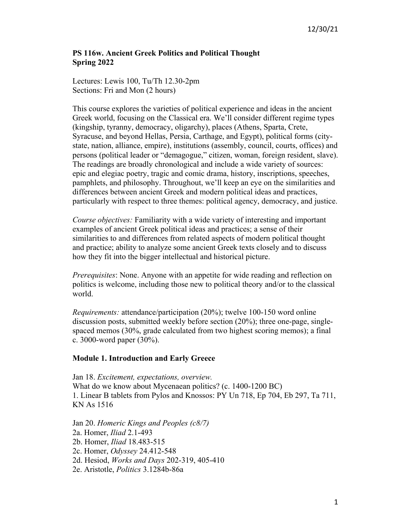# **PS 116w. Ancient Greek Politics and Political Thought Spring 2022**

Lectures: Lewis 100, Tu/Th 12.30-2pm Sections: Fri and Mon (2 hours)

This course explores the varieties of political experience and ideas in the ancient Greek world, focusing on the Classical era. We'll consider different regime types (kingship, tyranny, democracy, oligarchy), places (Athens, Sparta, Crete, Syracuse, and beyond Hellas, Persia, Carthage, and Egypt), political forms (citystate, nation, alliance, empire), institutions (assembly, council, courts, offices) and persons (political leader or "demagogue," citizen, woman, foreign resident, slave). The readings are broadly chronological and include a wide variety of sources: epic and elegiac poetry, tragic and comic drama, history, inscriptions, speeches, pamphlets, and philosophy. Throughout, we'll keep an eye on the similarities and differences between ancient Greek and modern political ideas and practices, particularly with respect to three themes: political agency, democracy, and justice.

*Course objectives:* Familiarity with a wide variety of interesting and important examples of ancient Greek political ideas and practices; a sense of their similarities to and differences from related aspects of modern political thought and practice; ability to analyze some ancient Greek texts closely and to discuss how they fit into the bigger intellectual and historical picture.

*Prerequisites*: None. Anyone with an appetite for wide reading and reflection on politics is welcome, including those new to political theory and/or to the classical world.

*Requirements:* attendance/participation (20%); twelve 100-150 word online discussion posts, submitted weekly before section (20%); three one-page, singlespaced memos (30%, grade calculated from two highest scoring memos); a final c. 3000-word paper (30%).

## **Module 1. Introduction and Early Greece**

Jan 18. *Excitement, expectations, overview.*  What do we know about Mycenaean politics? (c. 1400-1200 BC) 1. Linear B tablets from Pylos and Knossos: PY Un 718, Ep 704, Eb 297, Ta 711, KN As 1516

Jan 20. *Homeric Kings and Peoples (c8/7)*  2a. Homer, *Iliad* 2.1-493 2b. Homer, *Iliad* 18.483-515 2c. Homer, *Odyssey* 24.412-548 2d. Hesiod, *Works and Days* 202-319, 405-410 2e. Aristotle, *Politics* 3.1284b-86a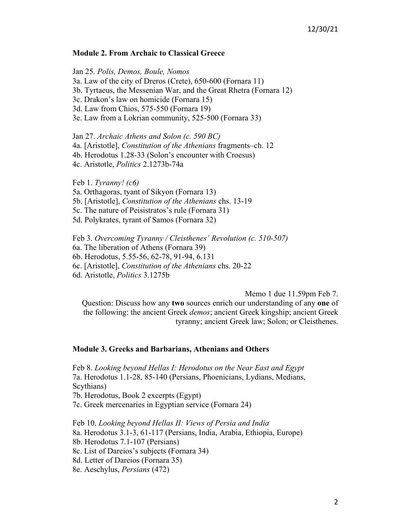### **Module 2. From Archaic to Classical Greece**

Jan 25*. Polis, Demos, Boule, Nomos*  3a. Law of the city of Dreros (Crete), 650-600 (Fornara 11) 3b. Tyrtaeus, the Messenian War, and the Great Rhetra (Fornara 12) 3c. Drakon's law on homicide (Fornara 15) 3d. Law from Chios, 575-550 (Fornara 19) 3e. Law from a Lokrian community, 525-500 (Fornara 33)

Jan 27. *Archaic Athens and Solon (c. 590 BC)*  4a. [Aristotle], *Constitution of the Athenians* fragments–ch. 12 4b. Herodotus 1.28-33 (Solon's encounter with Croesus) 4c. Aristotle, *Politics* 2.1273b-74a

Feb 1. *Tyranny! (c6)*  5a. Orthagoras, tyant of Sikyon (Fornara 13) 5b. [Aristotle], *Constitution of the Athenians* chs. 13-19 5c. The nature of Peisistratos's rule (Fornara 31) 5d. Polykrates, tyrant of Samos (Fornara 32)

Feb 3. *Overcoming Tyranny / Cleisthenes' Revolution (c. 510-507)*  6a. The liberation of Athens (Fornara 39) 6b. Herodotus, 5.55-56, 62-78, 91-94, 6.131 6c. [Aristotle], *Constitution of the Athenians* chs. 20-22 6d. Aristotle, *Politics* 3.1275b

Memo 1 due 11.59pm Feb 7. Question: Discuss how any **two** sources enrich our understanding of any **one** of the following: the ancient Greek *demos*; ancient Greek kingship; ancient Greek tyranny; ancient Greek law; Solon; or Cleisthenes.

#### **Module 3. Greeks and Barbarians, Athenians and Others**

Feb 8. *Looking beyond Hellas I: Herodotus on the Near East and Egypt*  7a. Herodotus 1.1-28, 85-140 (Persians, Phoenicians, Lydians, Medians, Scythians) 7b. Herodotus, Book 2 excerpts (Egypt)

7c. Greek mercenaries in Egyptian service (Fornara 24)

Feb 10. *Looking beyond Hellas II: Views of Persia and India*  8a. Herodotus 3.1-3, 61-117 (Persians, India, Arabia, Ethiopia, Europe) 8b. Herodotus 7.1-107 (Persians) 8c. List of Dareios's subjects (Fornara 34) 8d. Letter of Dareios (Fornara 35) 8e. Aeschylus, *Persians* (472)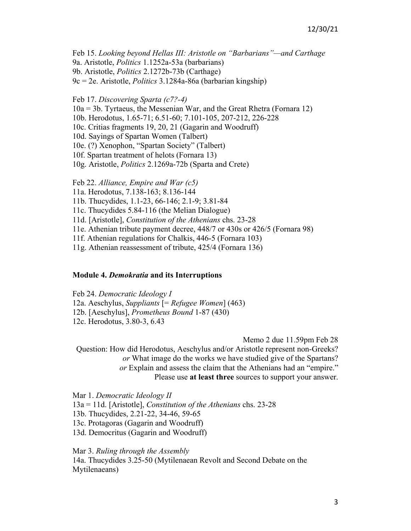Feb 15. *Looking beyond Hellas III: Aristotle on "Barbarians"—and Carthage* 9a. Aristotle, *Politics* 1.1252a-53a (barbarians) 9b. Aristotle, *Politics* 2.1272b-73b (Carthage) 9c = 2e. Aristotle, *Politics* 3.1284a-86a (barbarian kingship)

Feb 17. *Discovering Sparta (c7?-4)* 

10a = 3b. Tyrtaeus, the Messenian War, and the Great Rhetra (Fornara 12)

10b. Herodotus, 1.65-71; 6.51-60; 7.101-105, 207-212, 226-228

10c. Critias fragments 19, 20, 21 (Gagarin and Woodruff)

10d. Sayings of Spartan Women (Talbert)

10e. (?) Xenophon, "Spartan Society" (Talbert)

10f. Spartan treatment of helots (Fornara 13)

10g. Aristotle, *Politics* 2.1269a-72b (Sparta and Crete)

Feb 22. *Alliance, Empire and War (c5)* 

11a. Herodotus, 7.138-163; 8.136-144

11b. Thucydides, 1.1-23, 66-146; 2.1-9; 3.81-84

11c. Thucydides 5.84-116 (the Melian Dialogue)

11d. [Aristotle], *Constitution of the Athenians* chs. 23-28

11e. Athenian tribute payment decree, 448/7 or 430s or 426/5 (Fornara 98)

11f. Athenian regulations for Chalkis, 446-5 (Fornara 103)

11g. Athenian reassessment of tribute, 425/4 (Fornara 136)

#### **Module 4.** *Demokratia* **and its Interruptions**

Feb 24. *Democratic Ideology I*  12a. Aeschylus, *Suppliants* [= *Refugee Women*] (463) 12b. [Aeschylus], *Prometheus Bound* 1-87 (430) 12c. Herodotus, 3.80-3, 6.43

Memo 2 due 11.59pm Feb 28

Question: How did Herodotus, Aeschylus and/or Aristotle represent non-Greeks? *or* What image do the works we have studied give of the Spartans? *or* Explain and assess the claim that the Athenians had an "empire." Please use **at least three** sources to support your answer.

Mar 1. *Democratic Ideology II* 13a = 11d. [Aristotle], *Constitution of the Athenians* chs. 23-28 13b. Thucydides, 2.21-22, 34-46, 59-65 13c. Protagoras (Gagarin and Woodruff) 13d. Democritus (Gagarin and Woodruff)

Mar 3. *Ruling through the Assembly* 14a. Thucydides 3.25-50 (Mytilenaean Revolt and Second Debate on the Mytilenaeans)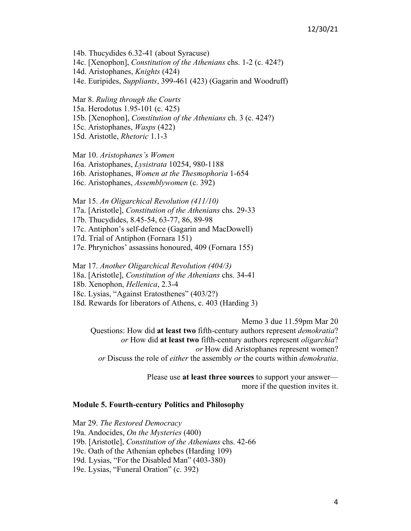14b. Thucydides 6.32-41 (about Syracuse) 14c. [Xenophon], *Constitution of the Athenians* chs. 1-2 (c. 424?) 14d. Aristophanes, *Knights* (424) 14e. Euripides, *Suppliants*, 399-461 (423) (Gagarin and Woodruff)

Mar 8. *Ruling through the Courts*  15a. Herodotus 1.95-101 (c. 425) 15b. [Xenophon], *Constitution of the Athenians* ch. 3 (c. 424?) 15c. Aristophanes, *Wasps* (422) 15d. Aristotle, *Rhetoric* 1.1-3

Mar 10. *Aristophanes's Women* 16a. Aristophanes, *Lysistrata* 10254, 980-1188 16b. Aristophanes, *Women at the Thesmophoria* 1-654 16c. Aristophanes, *Assemblywomen* (c. 392)

Mar 15. *An Oligarchical Revolution (411/10)*

17a. [Aristotle], *Constitution of the Athenians* chs. 29-33

17b. Thucydides, 8.45-54, 63-77, 86, 89-98

17c. Antiphon's self-defence (Gagarin and MacDowell)

17d. Trial of Antiphon (Fornara 151)

17e. Phrynichos' assassins honoured, 409 (Fornara 155)

Mar 17. *Another Oligarchical Revolution (404/3)* 

18a. [Aristotle], *Constitution of the Athenians* chs. 34-41

18b. Xenophon, *Hellenica*, 2.3-4

18c. Lysias, "Against Eratosthenes" (403/2?)

18d. Rewards for liberators of Athens, c. 403 (Harding 3)

Memo 3 due 11.59pm Mar 20 Questions: How did **at least two** fifth-century authors represent *demokratia*? *or* How did **at least two** fifth-century authors represent *oligarchia*? *or* How did Aristophanes represent women? *or* Discuss the role of *either* the assembly *or* the courts within *demokratia*.

> Please use **at least three sources** to support your answer more if the question invites it.

#### **Module 5. Fourth-century Politics and Philosophy**

Mar 29. *The Restored Democracy* 19a. Andocides, *On the Mysteries* (400) 19b. [Aristotle], *Constitution of the Athenians* chs. 42-66 19c. Oath of the Athenian ephebes (Harding 109) 19d. Lysias, "For the Disabled Man" (403-380) 19e. Lysias, "Funeral Oration" (c. 392)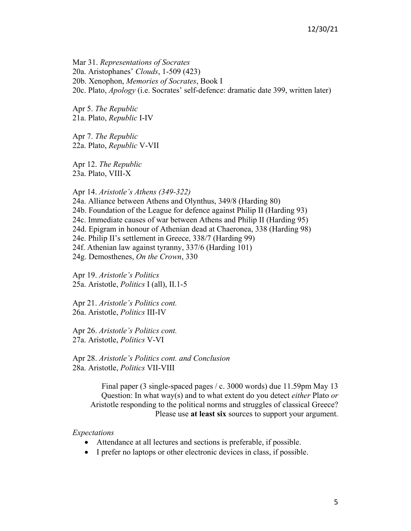Mar 31. *Representations of Socrates* 20a. Aristophanes' *Clouds*, 1-509 (423) 20b. Xenophon, *Memories of Socrates*, Book I 20c. Plato, *Apology* (i.e. Socrates' self-defence: dramatic date 399, written later)

Apr 5. *The Republic*  21a. Plato, *Republic* I-IV

Apr 7. *The Republic*  22a. Plato, *Republic* V-VII

Apr 12. *The Republic*  23a. Plato, VIII-X

Apr 14. *Aristotle's Athens (349-322)* 

24a. Alliance between Athens and Olynthus, 349/8 (Harding 80)

24b. Foundation of the League for defence against Philip II (Harding 93)

24c. Immediate causes of war between Athens and Philip II (Harding 95)

24d. Epigram in honour of Athenian dead at Chaeronea, 338 (Harding 98)

24e. Philip II's settlement in Greece, 338/7 (Harding 99)

24f. Athenian law against tyranny, 337/6 (Harding 101)

24g. Demosthenes, *On the Crown*, 330

Apr 19. *Aristotle's Politics*  25a. Aristotle, *Politics* I (all), II.1-5

Apr 21. *Aristotle's Politics cont.*  26a. Aristotle, *Politics* III-IV

Apr 26. *Aristotle's Politics cont.* 27a. Aristotle, *Politics* V-VI

Apr 28. *Aristotle's Politics cont. and Conclusion* 28a. Aristotle, *Politics* VII-VIII

> Final paper (3 single-spaced pages / c. 3000 words) due 11.59pm May 13 Question: In what way(s) and to what extent do you detect *either* Plato *or* Aristotle responding to the political norms and struggles of classical Greece? Please use **at least six** sources to support your argument.

## *Expectations*

- Attendance at all lectures and sections is preferable, if possible.
- I prefer no laptops or other electronic devices in class, if possible.